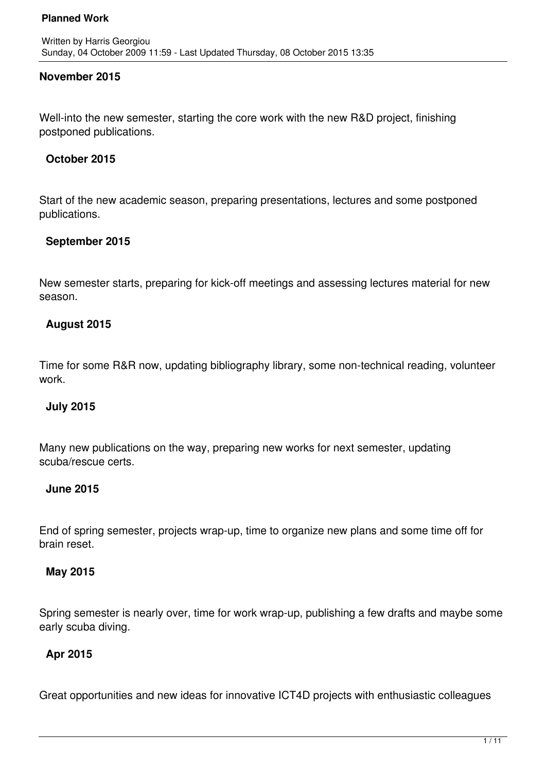# **November 2015**

Well-into the new semester, starting the core work with the new R&D project, finishing postponed publications.

### **October 2015**

Start of the new academic season, preparing presentations, lectures and some postponed publications.

# **September 2015**

New semester starts, preparing for kick-off meetings and assessing lectures material for new season.

# **August 2015**

Time for some R&R now, updating bibliography library, some non-technical reading, volunteer work.

### **July 2015**

Many new publications on the way, preparing new works for next semester, updating scuba/rescue certs.

### **June 2015**

End of spring semester, projects wrap-up, time to organize new plans and some time off for brain reset.

### **May 2015**

Spring semester is nearly over, time for work wrap-up, publishing a few drafts and maybe some early scuba diving.

# **Apr 2015**

Great opportunities and new ideas for innovative ICT4D projects with enthusiastic colleagues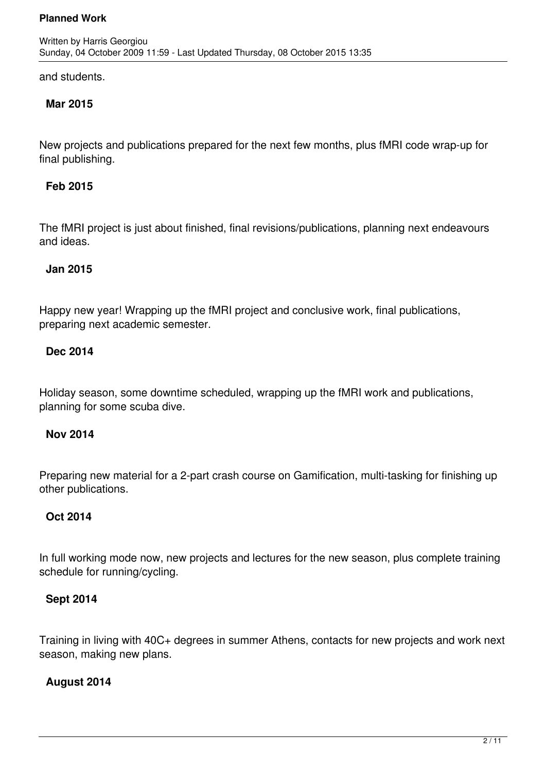and students.

# **Mar 2015**

New projects and publications prepared for the next few months, plus fMRI code wrap-up for final publishing.

# **Feb 2015**

The fMRI project is just about finished, final revisions/publications, planning next endeavours and ideas.

# **Jan 2015**

Happy new year! Wrapping up the fMRI project and conclusive work, final publications, preparing next academic semester.

# **Dec 2014**

Holiday season, some downtime scheduled, wrapping up the fMRI work and publications, planning for some scuba dive.

### **Nov 2014**

Preparing new material for a 2-part crash course on Gamification, multi-tasking for finishing up other publications.

# **Oct 2014**

In full working mode now, new projects and lectures for the new season, plus complete training schedule for running/cycling.

# **Sept 2014**

Training in living with 40C+ degrees in summer Athens, contacts for new projects and work next season, making new plans.

# **August 2014**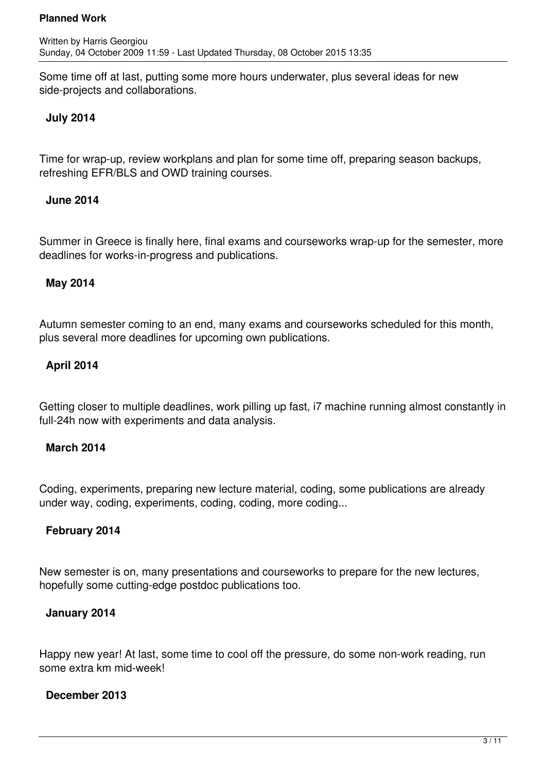Some time off at last, putting some more hours underwater, plus several ideas for new side-projects and collaborations.

# **July 2014**

Time for wrap-up, review workplans and plan for some time off, preparing season backups, refreshing EFR/BLS and OWD training courses.

### **June 2014**

Summer in Greece is finally here, final exams and courseworks wrap-up for the semester, more deadlines for works-in-progress and publications.

# **May 2014**

Autumn semester coming to an end, many exams and courseworks scheduled for this month, plus several more deadlines for upcoming own publications.

# **April 2014**

Getting closer to multiple deadlines, work pilling up fast, i7 machine running almost constantly in full-24h now with experiments and data analysis.

### **March 2014**

Coding, experiments, preparing new lecture material, coding, some publications are already under way, coding, experiments, coding, coding, more coding...

### **February 2014**

New semester is on, many presentations and courseworks to prepare for the new lectures, hopefully some cutting-edge postdoc publications too.

### **January 2014**

Happy new year! At last, some time to cool off the pressure, do some non-work reading, run some extra km mid-week!

### **December 2013**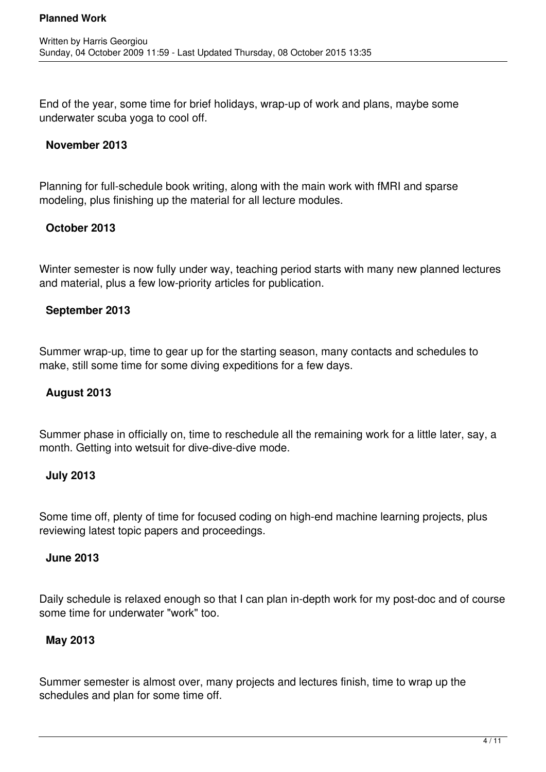End of the year, some time for brief holidays, wrap-up of work and plans, maybe some underwater scuba yoga to cool off.

# **November 2013**

Planning for full-schedule book writing, along with the main work with fMRI and sparse modeling, plus finishing up the material for all lecture modules.

# **October 2013**

Winter semester is now fully under way, teaching period starts with many new planned lectures and material, plus a few low-priority articles for publication.

# **September 2013**

Summer wrap-up, time to gear up for the starting season, many contacts and schedules to make, still some time for some diving expeditions for a few days.

# **August 2013**

Summer phase in officially on, time to reschedule all the remaining work for a little later, say, a month. Getting into wetsuit for dive-dive-dive mode.

### **July 2013**

Some time off, plenty of time for focused coding on high-end machine learning projects, plus reviewing latest topic papers and proceedings.

### **June 2013**

Daily schedule is relaxed enough so that I can plan in-depth work for my post-doc and of course some time for underwater "work" too.

### **May 2013**

Summer semester is almost over, many projects and lectures finish, time to wrap up the schedules and plan for some time off.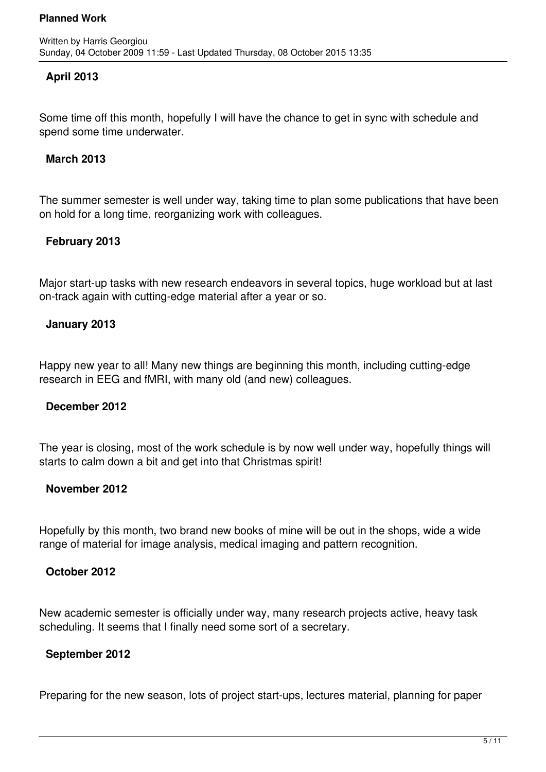# **April 2013**

Some time off this month, hopefully I will have the chance to get in sync with schedule and spend some time underwater.

### **March 2013**

The summer semester is well under way, taking time to plan some publications that have been on hold for a long time, reorganizing work with colleagues.

### **February 2013**

Major start-up tasks with new research endeavors in several topics, huge workload but at last on-track again with cutting-edge material after a year or so.

### **January 2013**

Happy new year to all! Many new things are beginning this month, including cutting-edge research in EEG and fMRI, with many old (and new) colleagues.

#### **December 2012**

The year is closing, most of the work schedule is by now well under way, hopefully things will starts to calm down a bit and get into that Christmas spirit!

#### **November 2012**

Hopefully by this month, two brand new books of mine will be out in the shops, wide a wide range of material for image analysis, medical imaging and pattern recognition.

#### **October 2012**

New academic semester is officially under way, many research projects active, heavy task scheduling. It seems that I finally need some sort of a secretary.

### **September 2012**

Preparing for the new season, lots of project start-ups, lectures material, planning for paper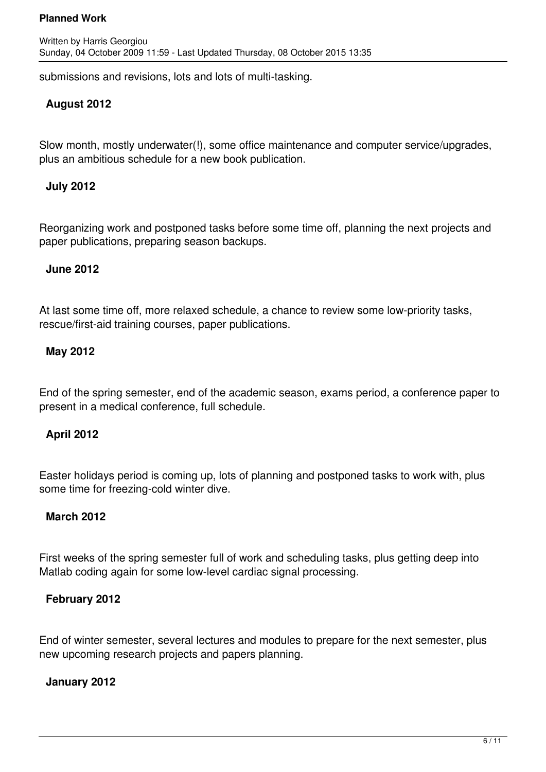submissions and revisions, lots and lots of multi-tasking.

# **August 2012**

Slow month, mostly underwater(!), some office maintenance and computer service/upgrades, plus an ambitious schedule for a new book publication.

### **July 2012**

Reorganizing work and postponed tasks before some time off, planning the next projects and paper publications, preparing season backups.

#### **June 2012**

At last some time off, more relaxed schedule, a chance to review some low-priority tasks, rescue/first-aid training courses, paper publications.

### **May 2012**

End of the spring semester, end of the academic season, exams period, a conference paper to present in a medical conference, full schedule.

### **April 2012**

Easter holidays period is coming up, lots of planning and postponed tasks to work with, plus some time for freezing-cold winter dive.

### **March 2012**

First weeks of the spring semester full of work and scheduling tasks, plus getting deep into Matlab coding again for some low-level cardiac signal processing.

### **February 2012**

End of winter semester, several lectures and modules to prepare for the next semester, plus new upcoming research projects and papers planning.

### **January 2012**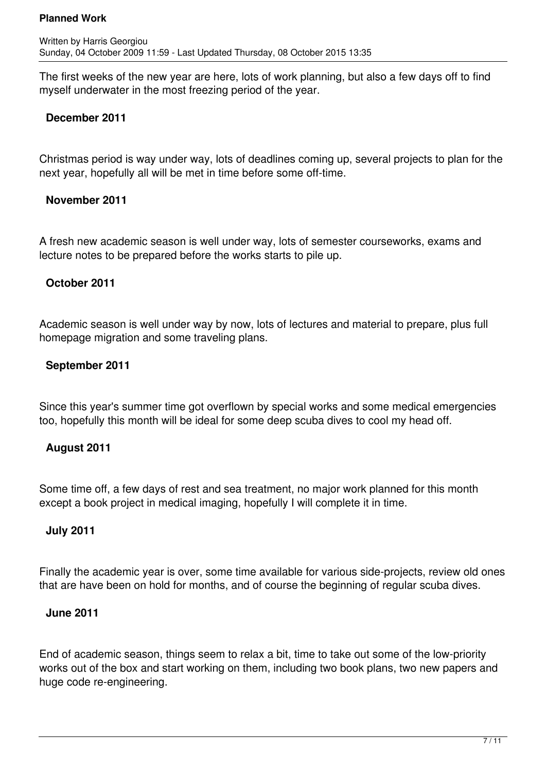The first weeks of the new year are here, lots of work planning, but also a few days off to find myself underwater in the most freezing period of the year.

# **December 2011**

Christmas period is way under way, lots of deadlines coming up, several projects to plan for the next year, hopefully all will be met in time before some off-time.

### **November 2011**

A fresh new academic season is well under way, lots of semester courseworks, exams and lecture notes to be prepared before the works starts to pile up.

# **October 2011**

Academic season is well under way by now, lots of lectures and material to prepare, plus full homepage migration and some traveling plans.

# **September 2011**

Since this year's summer time got overflown by special works and some medical emergencies too, hopefully this month will be ideal for some deep scuba dives to cool my head off.

### **August 2011**

Some time off, a few days of rest and sea treatment, no major work planned for this month except a book project in medical imaging, hopefully I will complete it in time.

### **July 2011**

Finally the academic year is over, some time available for various side-projects, review old ones that are have been on hold for months, and of course the beginning of regular scuba dives.

### **June 2011**

End of academic season, things seem to relax a bit, time to take out some of the low-priority works out of the box and start working on them, including two book plans, two new papers and huge code re-engineering.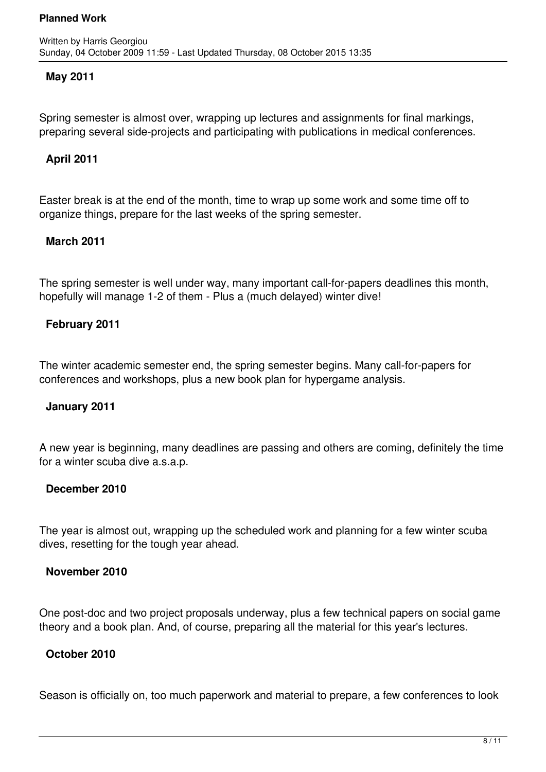### **May 2011**

Spring semester is almost over, wrapping up lectures and assignments for final markings, preparing several side-projects and participating with publications in medical conferences.

### **April 2011**

Easter break is at the end of the month, time to wrap up some work and some time off to organize things, prepare for the last weeks of the spring semester.

### **March 2011**

The spring semester is well under way, many important call-for-papers deadlines this month, hopefully will manage 1-2 of them - Plus a (much delayed) winter dive!

### **February 2011**

The winter academic semester end, the spring semester begins. Many call-for-papers for conferences and workshops, plus a new book plan for hypergame analysis.

#### **January 2011**

A new year is beginning, many deadlines are passing and others are coming, definitely the time for a winter scuba dive a.s.a.p.

#### **December 2010**

The year is almost out, wrapping up the scheduled work and planning for a few winter scuba dives, resetting for the tough year ahead.

#### **November 2010**

One post-doc and two project proposals underway, plus a few technical papers on social game theory and a book plan. And, of course, preparing all the material for this year's lectures.

### **October 2010**

Season is officially on, too much paperwork and material to prepare, a few conferences to look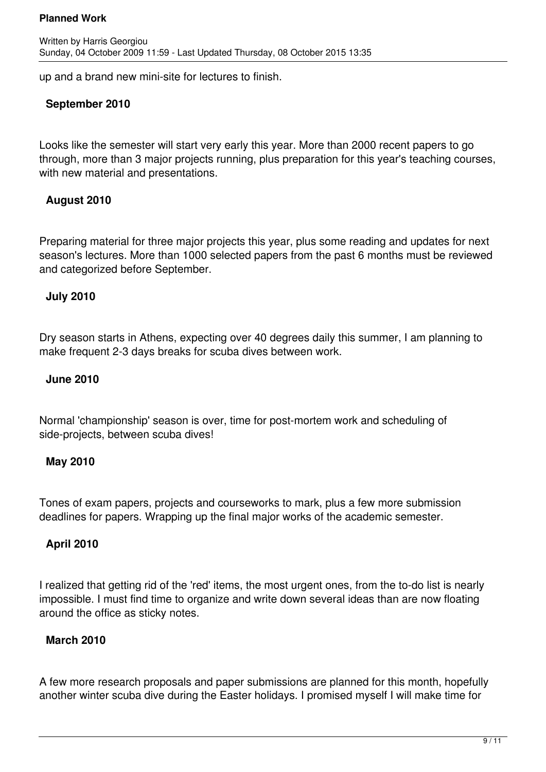up and a brand new mini-site for lectures to finish.

# **September 2010**

Looks like the semester will start very early this year. More than 2000 recent papers to go through, more than 3 major projects running, plus preparation for this year's teaching courses, with new material and presentations.

# **August 2010**

Preparing material for three major projects this year, plus some reading and updates for next season's lectures. More than 1000 selected papers from the past 6 months must be reviewed and categorized before September.

### **July 2010**

Dry season starts in Athens, expecting over 40 degrees daily this summer, I am planning to make frequent 2-3 days breaks for scuba dives between work.

### **June 2010**

Normal 'championship' season is over, time for post-mortem work and scheduling of side-projects, between scuba dives!

### **May 2010**

Tones of exam papers, projects and courseworks to mark, plus a few more submission deadlines for papers. Wrapping up the final major works of the academic semester.

### **April 2010**

I realized that getting rid of the 'red' items, the most urgent ones, from the to-do list is nearly impossible. I must find time to organize and write down several ideas than are now floating around the office as sticky notes.

### **March 2010**

A few more research proposals and paper submissions are planned for this month, hopefully another winter scuba dive during the Easter holidays. I promised myself I will make time for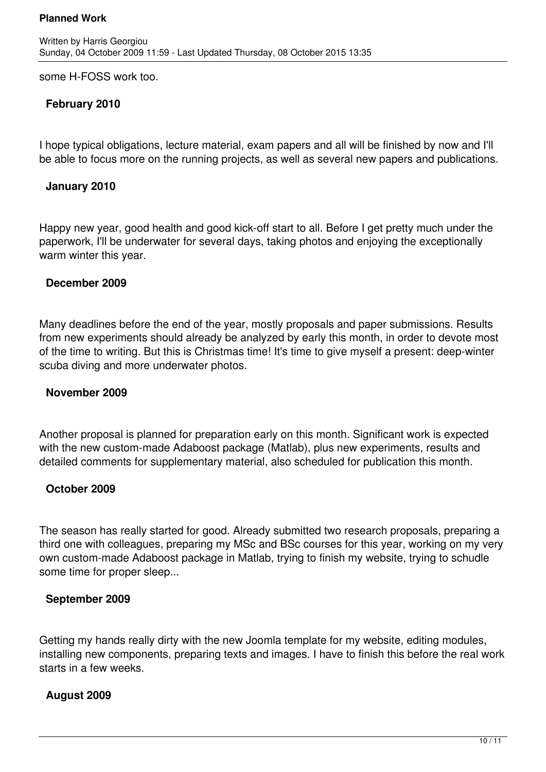some H-FOSS work too.

# **February 2010**

I hope typical obligations, lecture material, exam papers and all will be finished by now and I'll be able to focus more on the running projects, as well as several new papers and publications.

#### **January 2010**

Happy new year, good health and good kick-off start to all. Before I get pretty much under the paperwork, I'll be underwater for several days, taking photos and enjoying the exceptionally warm winter this year.

#### **December 2009**

Many deadlines before the end of the year, mostly proposals and paper submissions. Results from new experiments should already be analyzed by early this month, in order to devote most of the time to writing. But this is Christmas time! It's time to give myself a present: deep-winter scuba diving and more underwater photos.

#### **November 2009**

Another proposal is planned for preparation early on this month. Significant work is expected with the new custom-made Adaboost package (Matlab), plus new experiments, results and detailed comments for supplementary material, also scheduled for publication this month.

### **October 2009**

The season has really started for good. Already submitted two research proposals, preparing a third one with colleagues, preparing my MSc and BSc courses for this year, working on my very own custom-made Adaboost package in Matlab, trying to finish my website, trying to schudle some time for proper sleep...

### **September 2009**

Getting my hands really dirty with the new Joomla template for my website, editing modules, installing new components, preparing texts and images. I have to finish this before the real work starts in a few weeks.

### **August 2009**